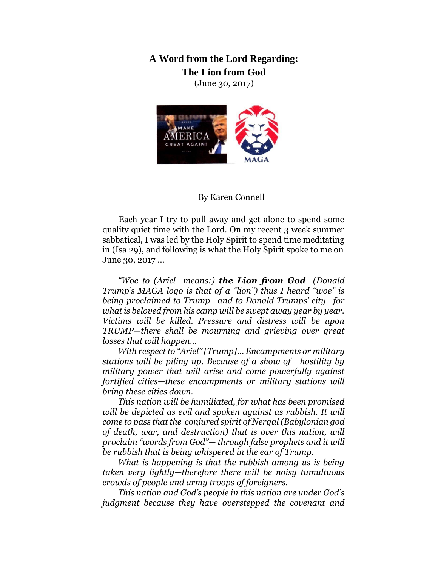**A Word from the Lord Regarding: The Lion from God** 

(June 30, 2017)



## By Karen Connell

Each year I try to pull away and get alone to spend some quality quiet time with the Lord. On my recent 3 week summer sabbatical, I was led by the Holy Spirit to spend time meditating in (Isa 29), and following is what the Holy Spirit spoke to me on June 30, 2017 …

*"Woe to (Ariel—means:) the Lion from God—(Donald Trump's MAGA logo is that of a "lion") thus I heard "woe" is being proclaimed to Trump—and to Donald Trumps' city—for what is beloved from his camp will be swept away year by year. Victims will be killed. Pressure and distress will be upon TRUMP—there shall be mourning and grieving over great losses that will happen…*

*With respect to "Ariel" [Trump]... Encampments or military stations will be piling up. Because of a show of hostility by military power that will arise and come powerfully against fortified cities—these encampments or military stations will bring these cities down.* 

*This nation will be humiliated, for what has been promised will be depicted as evil and spoken against as rubbish. It will come to pass that the conjured spirit of Nergal (Babylonian god of death, war, and destruction) that is over this nation, will proclaim "words from God"— through false prophets and it will be rubbish that is being whispered in the ear of Trump.* 

*What is happening is that the rubbish among us is being taken very lightly—therefore there will be noisy tumultuous crowds of people and army troops of foreigners.* 

*This nation and God's people in this nation are under God's judgment because they have overstepped the covenant and*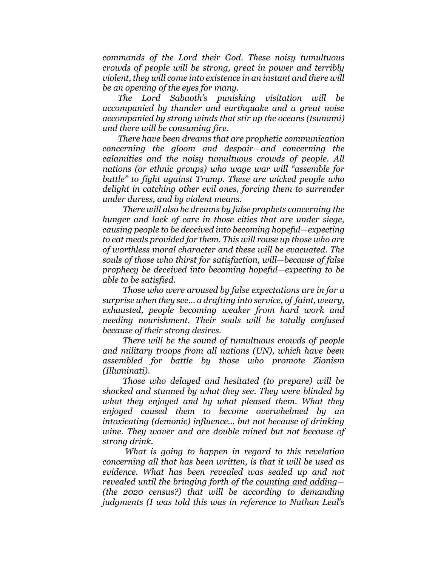*commands of the Lord their God. These noisy tumultuous crowds of people will be strong, great in power and terribly violent, they will come into existence in an instant and there will be an opening of the eyes for many.* 

*The Lord Sabaoth's punishing visitation will be accompanied by thunder and earthquake and a great noise accompanied by strong winds that stir up the oceans (tsunami) and there will be consuming fire.*

*There have been dreams that are prophetic communication concerning the gloom and despair—and concerning the calamities and the noisy tumultuous crowds of people. All nations (or ethnic groups) who wage war will "assemble for battle" to fight against Trump. These are wicked people who delight in catching other evil ones, forcing them to surrender under duress, and by violent means.* 

*There will also be dreams by false prophets concerning the hunger and lack of care in those cities that are under siege, causing people to be deceived into becoming hopeful—expecting to eat meals provided for them. This will rouse up those who are of worthless moral character and these will be evacuated. The souls of those who thirst for satisfaction, will—because of false prophecy be deceived into becoming hopeful—expecting to be able to be satisfied.* 

*Those who were aroused by false expectations are in for a surprise when they see… a drafting into service, of faint, weary, exhausted, people becoming weaker from hard work and needing nourishment. Their souls will be totally confused because of their strong desires.* 

*There will be the sound of tumultuous crowds of people and military troops from all nations (UN), which have been assembled for battle by those who promote Zionism (Illuminati).* 

*Those who delayed and hesitated (to prepare) will be shocked and stunned by what they see. They were blinded by what they enjoyed and by what pleased them. What they enjoyed caused them to become overwhelmed by an intoxicating (demonic) influence… but not because of drinking wine. They waver and are double mined but not because of strong drink.* 

*What is going to happen in regard to this revelation concerning all that has been written, is that it will be used as evidence. What has been revealed was sealed up and not revealed until the bringing forth of the counting and adding— (the 2020 census?) that will be according to demanding judgments (I was told this was in reference to Nathan Leal's*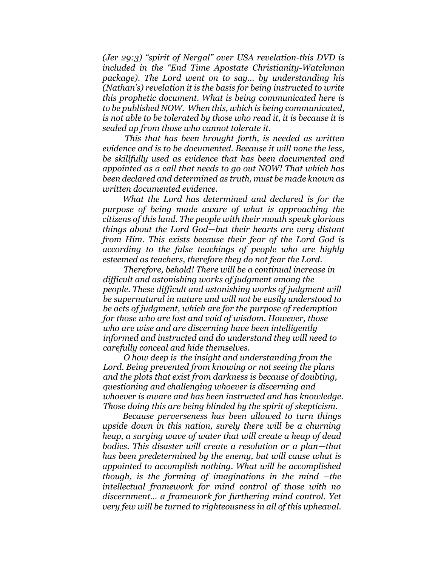*(Jer 29:3) "spirit of Nergal" over USA revelation-this DVD is included in the "End Time Apostate Christianity-Watchman package). The Lord went on to say… by understanding his (Nathan's) revelation it is the basis for being instructed to write this prophetic document. What is being communicated here is to be published NOW. When this, which is being communicated, is not able to be tolerated by those who read it, it is because it is sealed up from those who cannot tolerate it.* 

*This that has been brought forth, is needed as written evidence and is to be documented. Because it will none the less, be skillfully used as evidence that has been documented and appointed as a call that needs to go out NOW! That which has been declared and determined as truth, must be made known as written documented evidence.* 

*What the Lord has determined and declared is for the purpose of being made aware of what is approaching the citizens of this land. The people with their mouth speak glorious things about the Lord God—but their hearts are very distant from Him. This exists because their fear of the Lord God is according to the false teachings of people who are highly esteemed as teachers, therefore they do not fear the Lord.* 

*Therefore, behold! There will be a continual increase in difficult and astonishing works of judgment among the people. These difficult and astonishing works of judgment will be supernatural in nature and will not be easily understood to be acts of judgment, which are for the purpose of redemption for those who are lost and void of wisdom. However, those who are wise and are discerning have been intelligently informed and instructed and do understand they will need to carefully conceal and hide themselves.* 

*O how deep is the insight and understanding from the Lord. Being prevented from knowing or not seeing the plans and the plots that exist from darkness is because of doubting, questioning and challenging whoever is discerning and whoever is aware and has been instructed and has knowledge. Those doing this are being blinded by the spirit of skepticism.* 

*Because perverseness has been allowed to turn things upside down in this nation, surely there will be a churning heap, a surging wave of water that will create a heap of dead bodies. This disaster will create a resolution or a plan—that has been predetermined by the enemy, but will cause what is appointed to accomplish nothing. What will be accomplished though, is the forming of imaginations in the mind –the intellectual framework for mind control of those with no discernment… a framework for furthering mind control. Yet very few will be turned to righteousness in all of this upheaval.*